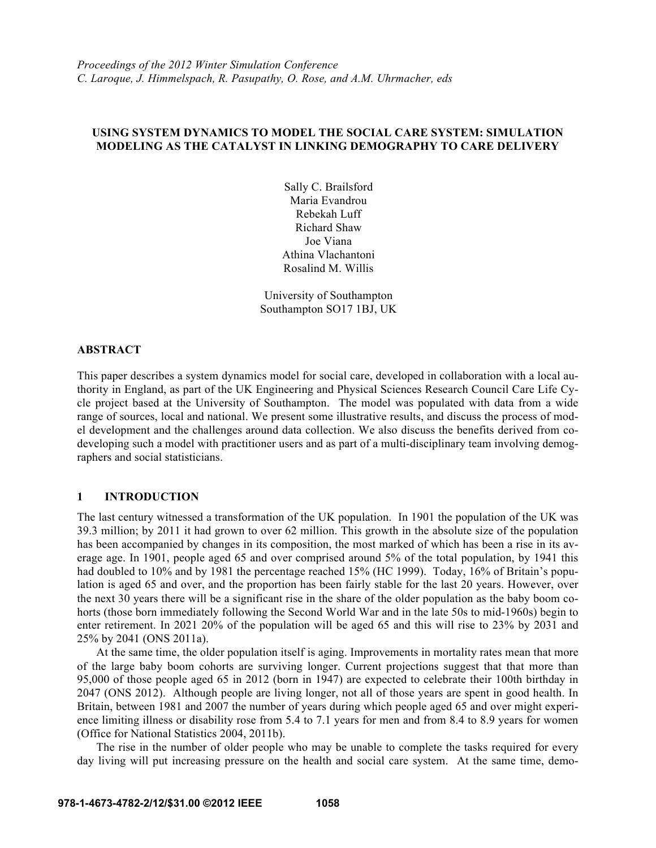## **USING SYSTEM DYNAMICS TO MODEL THE SOCIAL CARE SYSTEM: SIMULATION MODELING AS THE CATALYST IN LINKING DEMOGRAPHY TO CARE DELIVERY**

Sally C. Brailsford Maria Evandrou Rebekah Luff Richard Shaw Joe Viana Athina Vlachantoni Rosalind M. Willis

University of Southampton Southampton SO17 1BJ, UK

### **ABSTRACT**

This paper describes a system dynamics model for social care, developed in collaboration with a local authority in England, as part of the UK Engineering and Physical Sciences Research Council Care Life Cycle project based at the University of Southampton. The model was populated with data from a wide range of sources, local and national. We present some illustrative results, and discuss the process of model development and the challenges around data collection. We also discuss the benefits derived from codeveloping such a model with practitioner users and as part of a multi-disciplinary team involving demographers and social statisticians.

## **1 INTRODUCTION**

The last century witnessed a transformation of the UK population. In 1901 the population of the UK was 39.3 million; by 2011 it had grown to over 62 million. This growth in the absolute size of the population has been accompanied by changes in its composition, the most marked of which has been a rise in its average age. In 1901, people aged 65 and over comprised around 5% of the total population, by 1941 this had doubled to 10% and by 1981 the percentage reached 15% (HC 1999). Today, 16% of Britain's population is aged 65 and over, and the proportion has been fairly stable for the last 20 years. However, over the next 30 years there will be a significant rise in the share of the older population as the baby boom cohorts (those born immediately following the Second World War and in the late 50s to mid-1960s) begin to enter retirement. In 2021 20% of the population will be aged 65 and this will rise to 23% by 2031 and 25% by 2041 (ONS 2011a).

 At the same time, the older population itself is aging. Improvements in mortality rates mean that more of the large baby boom cohorts are surviving longer. Current projections suggest that that more than 95,000 of those people aged 65 in 2012 (born in 1947) are expected to celebrate their 100th birthday in 2047 (ONS 2012). Although people are living longer, not all of those years are spent in good health. In Britain, between 1981 and 2007 the number of years during which people aged 65 and over might experience limiting illness or disability rose from 5.4 to 7.1 years for men and from 8.4 to 8.9 years for women (Office for National Statistics 2004, 2011b).

 The rise in the number of older people who may be unable to complete the tasks required for every day living will put increasing pressure on the health and social care system. At the same time, demo-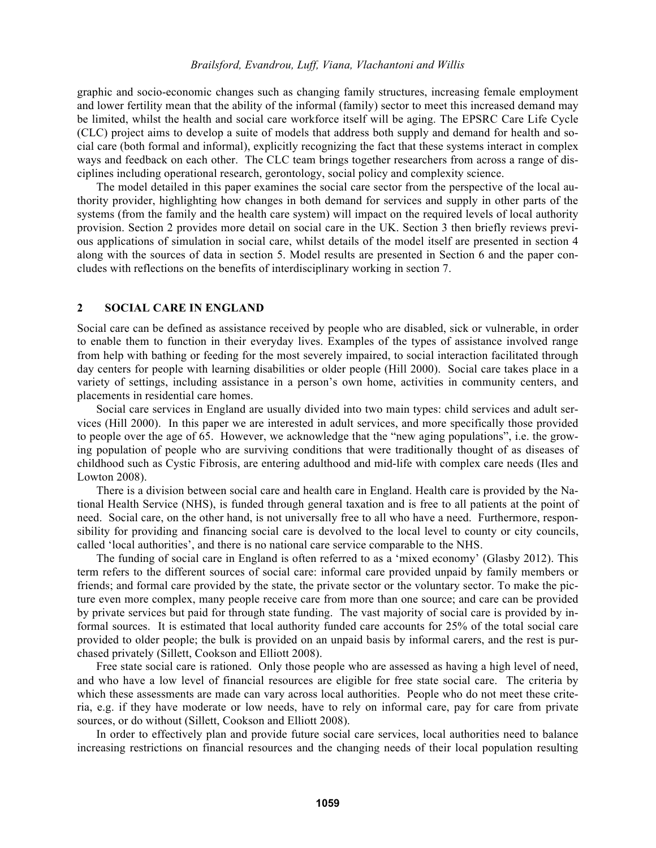graphic and socio-economic changes such as changing family structures, increasing female employment and lower fertility mean that the ability of the informal (family) sector to meet this increased demand may be limited, whilst the health and social care workforce itself will be aging. The EPSRC Care Life Cycle (CLC) project aims to develop a suite of models that address both supply and demand for health and social care (both formal and informal), explicitly recognizing the fact that these systems interact in complex ways and feedback on each other. The CLC team brings together researchers from across a range of disciplines including operational research, gerontology, social policy and complexity science.

 The model detailed in this paper examines the social care sector from the perspective of the local authority provider, highlighting how changes in both demand for services and supply in other parts of the systems (from the family and the health care system) will impact on the required levels of local authority provision. Section 2 provides more detail on social care in the UK. Section 3 then briefly reviews previous applications of simulation in social care, whilst details of the model itself are presented in section 4 along with the sources of data in section 5. Model results are presented in Section 6 and the paper concludes with reflections on the benefits of interdisciplinary working in section 7.

### **2 SOCIAL CARE IN ENGLAND**

Social care can be defined as assistance received by people who are disabled, sick or vulnerable, in order to enable them to function in their everyday lives. Examples of the types of assistance involved range from help with bathing or feeding for the most severely impaired, to social interaction facilitated through day centers for people with learning disabilities or older people (Hill 2000). Social care takes place in a variety of settings, including assistance in a person's own home, activities in community centers, and placements in residential care homes.

Social care services in England are usually divided into two main types: child services and adult services (Hill 2000). In this paper we are interested in adult services, and more specifically those provided to people over the age of 65. However, we acknowledge that the "new aging populations", i.e. the growing population of people who are surviving conditions that were traditionally thought of as diseases of childhood such as Cystic Fibrosis, are entering adulthood and mid-life with complex care needs (Iles and Lowton 2008).

There is a division between social care and health care in England. Health care is provided by the National Health Service (NHS), is funded through general taxation and is free to all patients at the point of need. Social care, on the other hand, is not universally free to all who have a need. Furthermore, responsibility for providing and financing social care is devolved to the local level to county or city councils, called 'local authorities', and there is no national care service comparable to the NHS.

The funding of social care in England is often referred to as a 'mixed economy' (Glasby 2012). This term refers to the different sources of social care: informal care provided unpaid by family members or friends; and formal care provided by the state, the private sector or the voluntary sector. To make the picture even more complex, many people receive care from more than one source; and care can be provided by private services but paid for through state funding. The vast majority of social care is provided by informal sources. It is estimated that local authority funded care accounts for 25% of the total social care provided to older people; the bulk is provided on an unpaid basis by informal carers, and the rest is purchased privately (Sillett, Cookson and Elliott 2008).

Free state social care is rationed. Only those people who are assessed as having a high level of need, and who have a low level of financial resources are eligible for free state social care. The criteria by which these assessments are made can vary across local authorities. People who do not meet these criteria, e.g. if they have moderate or low needs, have to rely on informal care, pay for care from private sources, or do without (Sillett, Cookson and Elliott 2008).

In order to effectively plan and provide future social care services, local authorities need to balance increasing restrictions on financial resources and the changing needs of their local population resulting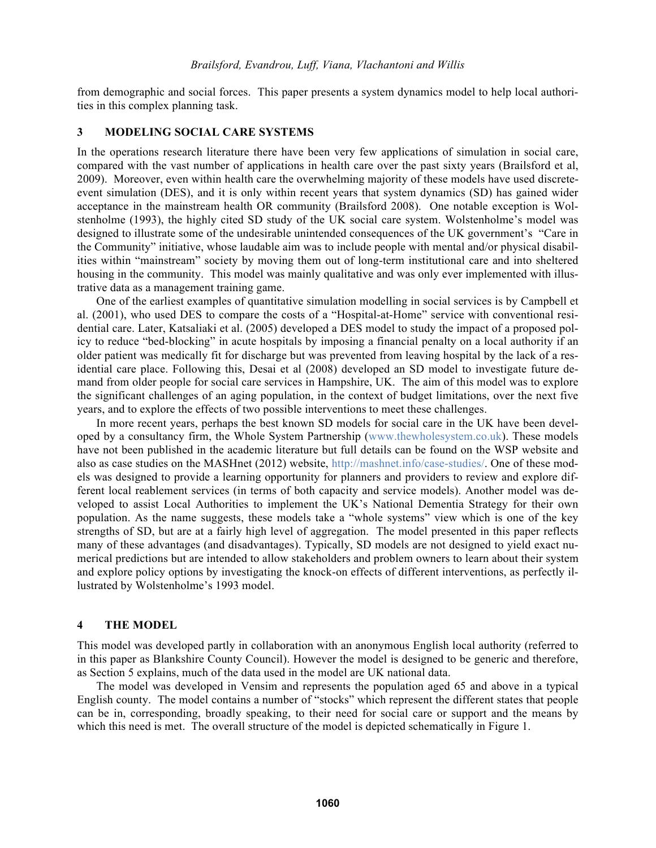from demographic and social forces. This paper presents a system dynamics model to help local authorities in this complex planning task.

### **3 MODELING SOCIAL CARE SYSTEMS**

In the operations research literature there have been very few applications of simulation in social care, compared with the vast number of applications in health care over the past sixty years (Brailsford et al, 2009). Moreover, even within health care the overwhelming majority of these models have used discreteevent simulation (DES), and it is only within recent years that system dynamics (SD) has gained wider acceptance in the mainstream health OR community (Brailsford 2008). One notable exception is Wolstenholme (1993), the highly cited SD study of the UK social care system. Wolstenholme's model was designed to illustrate some of the undesirable unintended consequences of the UK government's "Care in the Community" initiative, whose laudable aim was to include people with mental and/or physical disabilities within "mainstream" society by moving them out of long-term institutional care and into sheltered housing in the community. This model was mainly qualitative and was only ever implemented with illustrative data as a management training game.

 One of the earliest examples of quantitative simulation modelling in social services is by Campbell et al. (2001), who used DES to compare the costs of a "Hospital-at-Home" service with conventional residential care. Later, Katsaliaki et al. (2005) developed a DES model to study the impact of a proposed policy to reduce "bed-blocking" in acute hospitals by imposing a financial penalty on a local authority if an older patient was medically fit for discharge but was prevented from leaving hospital by the lack of a residential care place. Following this, Desai et al (2008) developed an SD model to investigate future demand from older people for social care services in Hampshire, UK. The aim of this model was to explore the significant challenges of an aging population, in the context of budget limitations, over the next five years, and to explore the effects of two possible interventions to meet these challenges.

In more recent years, perhaps the best known SD models for social care in the UK have been developed by a consultancy firm, the Whole System Partnership (www.thewholesystem.co.uk). These models have not been published in the academic literature but full details can be found on the WSP website and also as case studies on the MASHnet (2012) website, http://mashnet.info/case-studies/. One of these models was designed to provide a learning opportunity for planners and providers to review and explore different local reablement services (in terms of both capacity and service models). Another model was developed to assist Local Authorities to implement the UK's National Dementia Strategy for their own population. As the name suggests, these models take a "whole systems" view which is one of the key strengths of SD, but are at a fairly high level of aggregation. The model presented in this paper reflects many of these advantages (and disadvantages). Typically, SD models are not designed to yield exact numerical predictions but are intended to allow stakeholders and problem owners to learn about their system and explore policy options by investigating the knock-on effects of different interventions, as perfectly illustrated by Wolstenholme's 1993 model.

#### **4 THE MODEL**

This model was developed partly in collaboration with an anonymous English local authority (referred to in this paper as Blankshire County Council). However the model is designed to be generic and therefore, as Section 5 explains, much of the data used in the model are UK national data.

The model was developed in Vensim and represents the population aged 65 and above in a typical English county. The model contains a number of "stocks" which represent the different states that people can be in, corresponding, broadly speaking, to their need for social care or support and the means by which this need is met. The overall structure of the model is depicted schematically in Figure 1.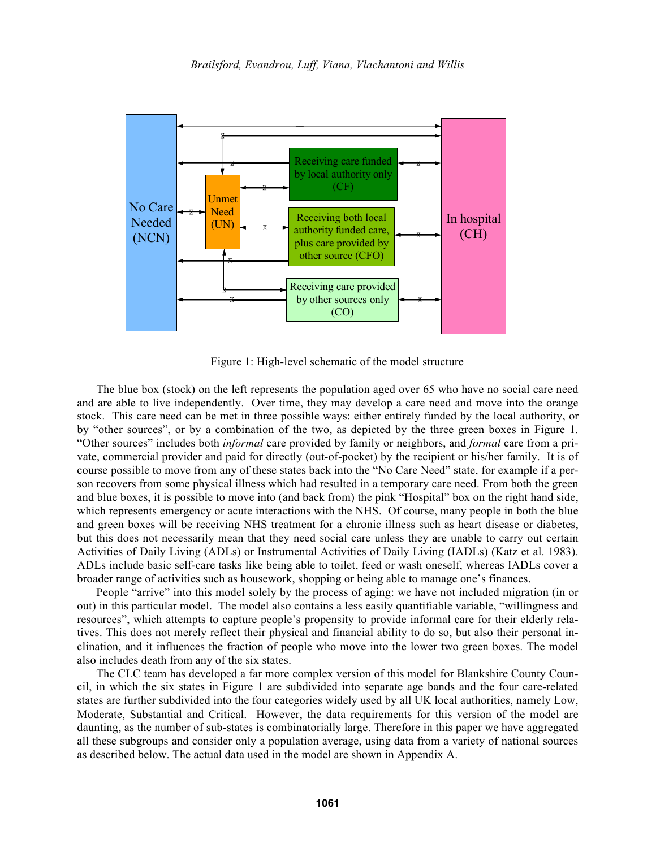

Figure 1: High-level schematic of the model structure

The blue box (stock) on the left represents the population aged over 65 who have no social care need and are able to live independently. Over time, they may develop a care need and move into the orange stock. This care need can be met in three possible ways: either entirely funded by the local authority, or by "other sources", or by a combination of the two, as depicted by the three green boxes in Figure 1. "Other sources" includes both *informal* care provided by family or neighbors, and *formal* care from a private, commercial provider and paid for directly (out-of-pocket) by the recipient or his/her family. It is of course possible to move from any of these states back into the "No Care Need" state, for example if a person recovers from some physical illness which had resulted in a temporary care need. From both the green and blue boxes, it is possible to move into (and back from) the pink "Hospital" box on the right hand side, which represents emergency or acute interactions with the NHS. Of course, many people in both the blue and green boxes will be receiving NHS treatment for a chronic illness such as heart disease or diabetes, but this does not necessarily mean that they need social care unless they are unable to carry out certain Activities of Daily Living (ADLs) or Instrumental Activities of Daily Living (IADLs) (Katz et al. 1983). ADLs include basic self-care tasks like being able to toilet, feed or wash oneself, whereas IADLs cover a broader range of activities such as housework, shopping or being able to manage one's finances.

People "arrive" into this model solely by the process of aging: we have not included migration (in or out) in this particular model. The model also contains a less easily quantifiable variable, "willingness and resources", which attempts to capture people's propensity to provide informal care for their elderly relatives. This does not merely reflect their physical and financial ability to do so, but also their personal inclination, and it influences the fraction of people who move into the lower two green boxes. The model also includes death from any of the six states.

The CLC team has developed a far more complex version of this model for Blankshire County Council, in which the six states in Figure 1 are subdivided into separate age bands and the four care-related states are further subdivided into the four categories widely used by all UK local authorities, namely Low, Moderate, Substantial and Critical. However, the data requirements for this version of the model are daunting, as the number of sub-states is combinatorially large. Therefore in this paper we have aggregated all these subgroups and consider only a population average, using data from a variety of national sources as described below. The actual data used in the model are shown in Appendix A.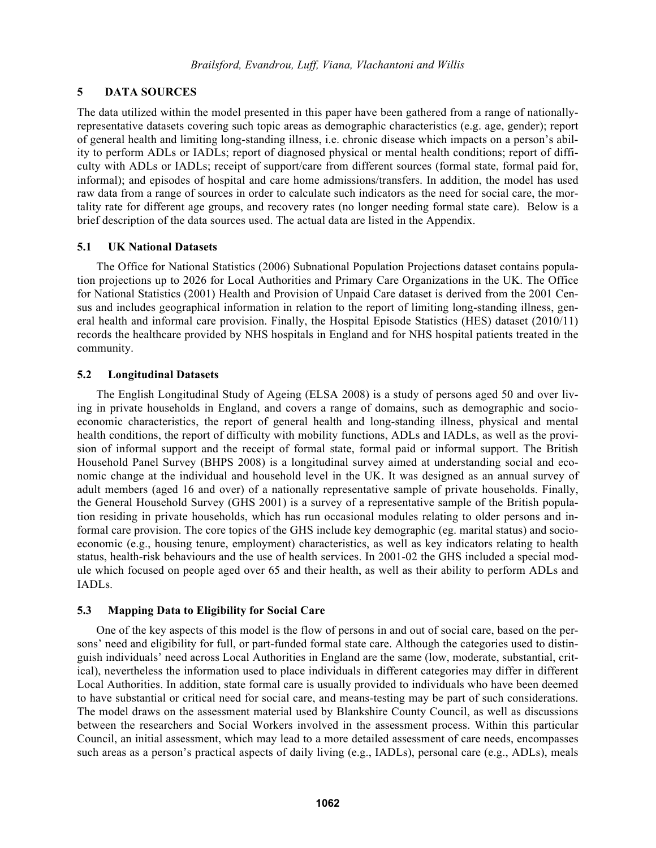## **5 DATA SOURCES**

The data utilized within the model presented in this paper have been gathered from a range of nationallyrepresentative datasets covering such topic areas as demographic characteristics (e.g. age, gender); report of general health and limiting long-standing illness, i.e. chronic disease which impacts on a person's ability to perform ADLs or IADLs; report of diagnosed physical or mental health conditions; report of difficulty with ADLs or IADLs; receipt of support/care from different sources (formal state, formal paid for, informal); and episodes of hospital and care home admissions/transfers. In addition, the model has used raw data from a range of sources in order to calculate such indicators as the need for social care, the mortality rate for different age groups, and recovery rates (no longer needing formal state care). Below is a brief description of the data sources used. The actual data are listed in the Appendix.

## **5.1 UK National Datasets**

The Office for National Statistics (2006) Subnational Population Projections dataset contains population projections up to 2026 for Local Authorities and Primary Care Organizations in the UK. The Office for National Statistics (2001) Health and Provision of Unpaid Care dataset is derived from the 2001 Census and includes geographical information in relation to the report of limiting long-standing illness, general health and informal care provision. Finally, the Hospital Episode Statistics (HES) dataset (2010/11) records the healthcare provided by NHS hospitals in England and for NHS hospital patients treated in the community.

## **5.2 Longitudinal Datasets**

The English Longitudinal Study of Ageing (ELSA 2008) is a study of persons aged 50 and over living in private households in England, and covers a range of domains, such as demographic and socioeconomic characteristics, the report of general health and long-standing illness, physical and mental health conditions, the report of difficulty with mobility functions, ADLs and IADLs, as well as the provision of informal support and the receipt of formal state, formal paid or informal support. The British Household Panel Survey (BHPS 2008) is a longitudinal survey aimed at understanding social and economic change at the individual and household level in the UK. It was designed as an annual survey of adult members (aged 16 and over) of a nationally representative sample of private households. Finally, the General Household Survey (GHS 2001) is a survey of a representative sample of the British population residing in private households, which has run occasional modules relating to older persons and informal care provision. The core topics of the GHS include key demographic (eg. marital status) and socioeconomic (e.g., housing tenure, employment) characteristics, as well as key indicators relating to health status, health-risk behaviours and the use of health services. In 2001-02 the GHS included a special module which focused on people aged over 65 and their health, as well as their ability to perform ADLs and IADLs.

## **5.3 Mapping Data to Eligibility for Social Care**

One of the key aspects of this model is the flow of persons in and out of social care, based on the persons' need and eligibility for full, or part-funded formal state care. Although the categories used to distinguish individuals' need across Local Authorities in England are the same (low, moderate, substantial, critical), nevertheless the information used to place individuals in different categories may differ in different Local Authorities. In addition, state formal care is usually provided to individuals who have been deemed to have substantial or critical need for social care, and means-testing may be part of such considerations. The model draws on the assessment material used by Blankshire County Council, as well as discussions between the researchers and Social Workers involved in the assessment process. Within this particular Council, an initial assessment, which may lead to a more detailed assessment of care needs, encompasses such areas as a person's practical aspects of daily living (e.g., IADLs), personal care (e.g., ADLs), meals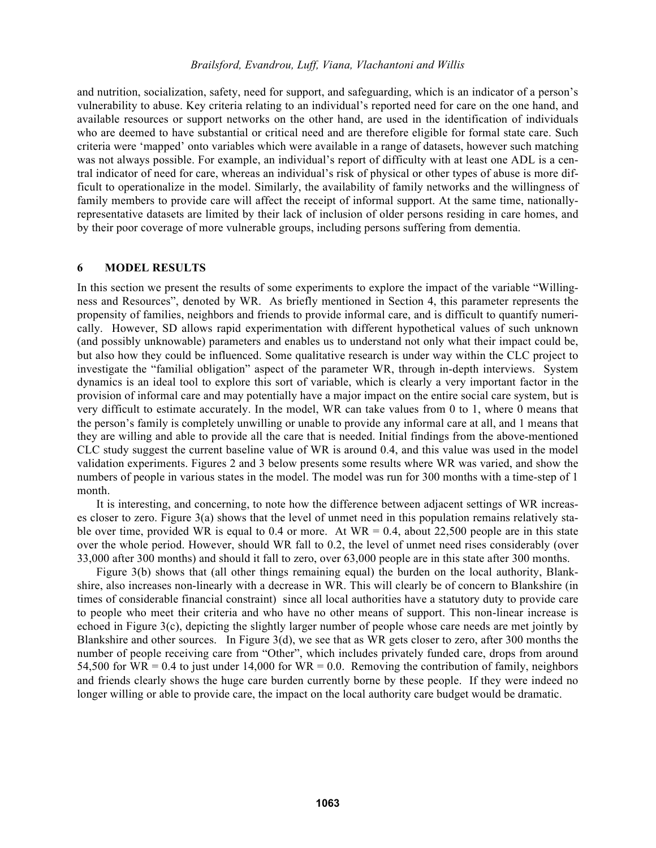and nutrition, socialization, safety, need for support, and safeguarding, which is an indicator of a person's vulnerability to abuse. Key criteria relating to an individual's reported need for care on the one hand, and available resources or support networks on the other hand, are used in the identification of individuals who are deemed to have substantial or critical need and are therefore eligible for formal state care. Such criteria were 'mapped' onto variables which were available in a range of datasets, however such matching was not always possible. For example, an individual's report of difficulty with at least one ADL is a central indicator of need for care, whereas an individual's risk of physical or other types of abuse is more difficult to operationalize in the model. Similarly, the availability of family networks and the willingness of family members to provide care will affect the receipt of informal support. At the same time, nationallyrepresentative datasets are limited by their lack of inclusion of older persons residing in care homes, and by their poor coverage of more vulnerable groups, including persons suffering from dementia.

### **6 MODEL RESULTS**

In this section we present the results of some experiments to explore the impact of the variable "Willingness and Resources", denoted by WR. As briefly mentioned in Section 4, this parameter represents the propensity of families, neighbors and friends to provide informal care, and is difficult to quantify numerically. However, SD allows rapid experimentation with different hypothetical values of such unknown (and possibly unknowable) parameters and enables us to understand not only what their impact could be, but also how they could be influenced. Some qualitative research is under way within the CLC project to investigate the "familial obligation" aspect of the parameter WR, through in-depth interviews. System dynamics is an ideal tool to explore this sort of variable, which is clearly a very important factor in the provision of informal care and may potentially have a major impact on the entire social care system, but is very difficult to estimate accurately. In the model, WR can take values from 0 to 1, where 0 means that the person's family is completely unwilling or unable to provide any informal care at all, and 1 means that they are willing and able to provide all the care that is needed. Initial findings from the above-mentioned CLC study suggest the current baseline value of WR is around 0.4, and this value was used in the model validation experiments. Figures 2 and 3 below presents some results where WR was varied, and show the numbers of people in various states in the model. The model was run for 300 months with a time-step of 1 month.

It is interesting, and concerning, to note how the difference between adjacent settings of WR increases closer to zero. Figure 3(a) shows that the level of unmet need in this population remains relatively stable over time, provided WR is equal to 0.4 or more. At WR = 0.4, about 22,500 people are in this state over the whole period. However, should WR fall to 0.2, the level of unmet need rises considerably (over 33,000 after 300 months) and should it fall to zero, over 63,000 people are in this state after 300 months.

Figure 3(b) shows that (all other things remaining equal) the burden on the local authority, Blankshire, also increases non-linearly with a decrease in WR. This will clearly be of concern to Blankshire (in times of considerable financial constraint) since all local authorities have a statutory duty to provide care to people who meet their criteria and who have no other means of support. This non-linear increase is echoed in Figure 3(c), depicting the slightly larger number of people whose care needs are met jointly by Blankshire and other sources. In Figure 3(d), we see that as WR gets closer to zero, after 300 months the number of people receiving care from "Other", which includes privately funded care, drops from around 54,500 for  $\overline{WR} = 0.4$  to just under 14,000 for  $\overline{WR} = 0.0$ . Removing the contribution of family, neighbors and friends clearly shows the huge care burden currently borne by these people. If they were indeed no longer willing or able to provide care, the impact on the local authority care budget would be dramatic.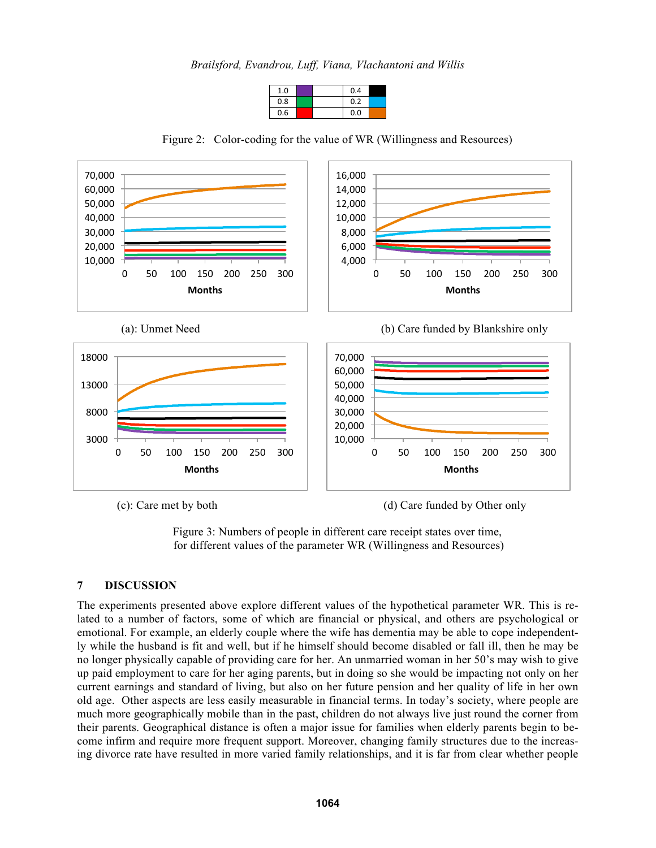*Brailsford, Evandrou, Luff, Viana, Vlachantoni and Willis* 

| 1.0 |  | 0.4 |  |
|-----|--|-----|--|
| 0.8 |  | 0.2 |  |
| 0.6 |  | 0.0 |  |



Figure 2: Color-coding for the value of WR (Willingness and Resources)

(c): Care met by both (d) Care funded by Other only



# **7 DISCUSSION**

The experiments presented above explore different values of the hypothetical parameter WR. This is related to a number of factors, some of which are financial or physical, and others are psychological or emotional. For example, an elderly couple where the wife has dementia may be able to cope independently while the husband is fit and well, but if he himself should become disabled or fall ill, then he may be no longer physically capable of providing care for her. An unmarried woman in her 50's may wish to give up paid employment to care for her aging parents, but in doing so she would be impacting not only on her current earnings and standard of living, but also on her future pension and her quality of life in her own old age. Other aspects are less easily measurable in financial terms. In today's society, where people are much more geographically mobile than in the past, children do not always live just round the corner from their parents. Geographical distance is often a major issue for families when elderly parents begin to become infirm and require more frequent support. Moreover, changing family structures due to the increasing divorce rate have resulted in more varied family relationships, and it is far from clear whether people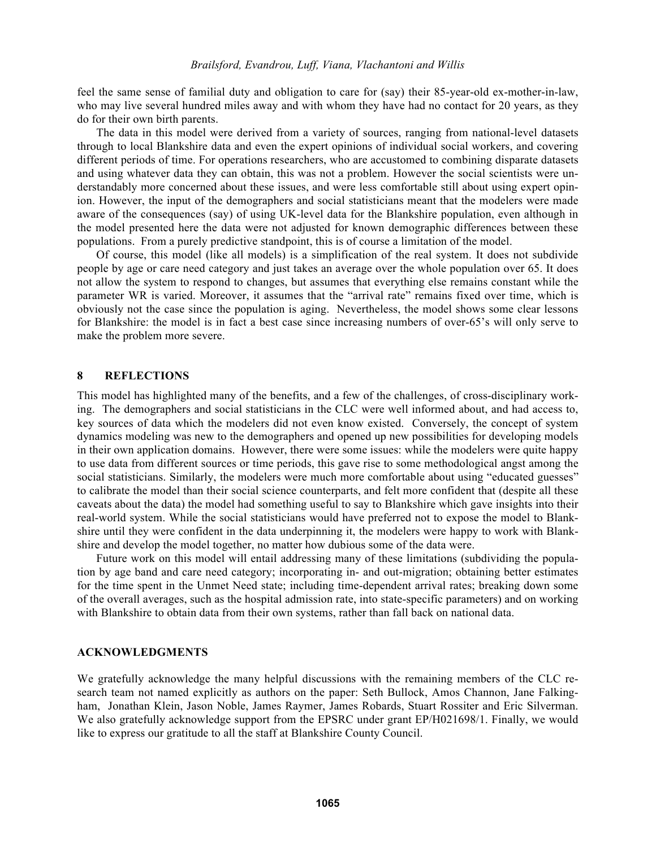feel the same sense of familial duty and obligation to care for (say) their 85-year-old ex-mother-in-law, who may live several hundred miles away and with whom they have had no contact for 20 years, as they do for their own birth parents.

The data in this model were derived from a variety of sources, ranging from national-level datasets through to local Blankshire data and even the expert opinions of individual social workers, and covering different periods of time. For operations researchers, who are accustomed to combining disparate datasets and using whatever data they can obtain, this was not a problem. However the social scientists were understandably more concerned about these issues, and were less comfortable still about using expert opinion. However, the input of the demographers and social statisticians meant that the modelers were made aware of the consequences (say) of using UK-level data for the Blankshire population, even although in the model presented here the data were not adjusted for known demographic differences between these populations. From a purely predictive standpoint, this is of course a limitation of the model.

Of course, this model (like all models) is a simplification of the real system. It does not subdivide people by age or care need category and just takes an average over the whole population over 65. It does not allow the system to respond to changes, but assumes that everything else remains constant while the parameter WR is varied. Moreover, it assumes that the "arrival rate" remains fixed over time, which is obviously not the case since the population is aging. Nevertheless, the model shows some clear lessons for Blankshire: the model is in fact a best case since increasing numbers of over-65's will only serve to make the problem more severe.

#### **8 REFLECTIONS**

This model has highlighted many of the benefits, and a few of the challenges, of cross-disciplinary working. The demographers and social statisticians in the CLC were well informed about, and had access to, key sources of data which the modelers did not even know existed. Conversely, the concept of system dynamics modeling was new to the demographers and opened up new possibilities for developing models in their own application domains. However, there were some issues: while the modelers were quite happy to use data from different sources or time periods, this gave rise to some methodological angst among the social statisticians. Similarly, the modelers were much more comfortable about using "educated guesses" to calibrate the model than their social science counterparts, and felt more confident that (despite all these caveats about the data) the model had something useful to say to Blankshire which gave insights into their real-world system. While the social statisticians would have preferred not to expose the model to Blankshire until they were confident in the data underpinning it, the modelers were happy to work with Blankshire and develop the model together, no matter how dubious some of the data were.

Future work on this model will entail addressing many of these limitations (subdividing the population by age band and care need category; incorporating in- and out-migration; obtaining better estimates for the time spent in the Unmet Need state; including time-dependent arrival rates; breaking down some of the overall averages, such as the hospital admission rate, into state-specific parameters) and on working with Blankshire to obtain data from their own systems, rather than fall back on national data.

#### **ACKNOWLEDGMENTS**

We gratefully acknowledge the many helpful discussions with the remaining members of the CLC research team not named explicitly as authors on the paper: Seth Bullock, Amos Channon, Jane Falkingham, Jonathan Klein, Jason Noble, James Raymer, James Robards, Stuart Rossiter and Eric Silverman. We also gratefully acknowledge support from the EPSRC under grant EP/H021698/1. Finally, we would like to express our gratitude to all the staff at Blankshire County Council.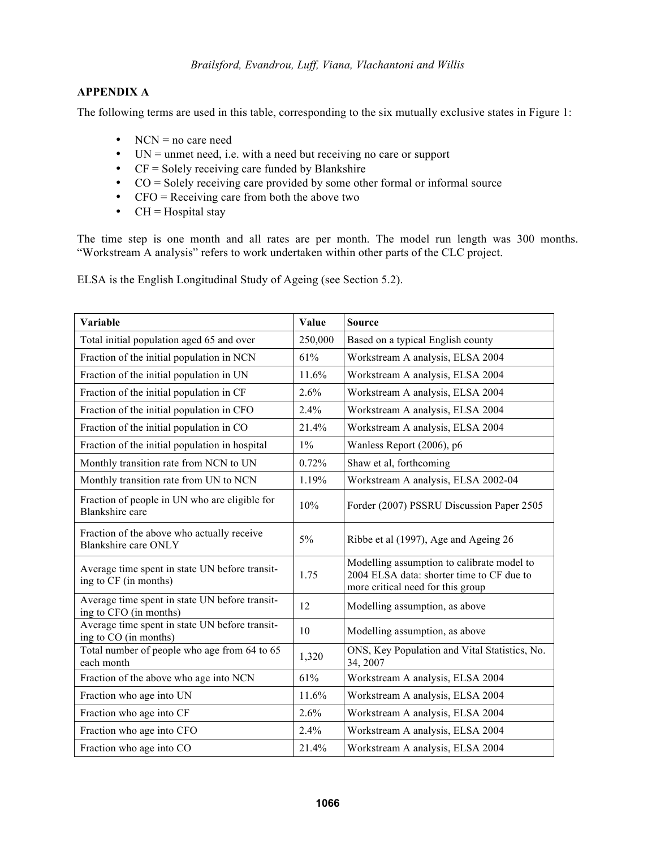# **APPENDIX A**

The following terms are used in this table, corresponding to the six mutually exclusive states in Figure 1:

- NCN = no care need
- UN = unmet need, i.e. with a need but receiving no care or support
- CF = Solely receiving care funded by Blankshire
- CO = Solely receiving care provided by some other formal or informal source
- CFO = Receiving care from both the above two
- $CH = Hospital$  stay

The time step is one month and all rates are per month. The model run length was 300 months. "Workstream A analysis" refers to work undertaken within other parts of the CLC project.

ELSA is the English Longitudinal Study of Ageing (see Section 5.2).

| Variable                                                                  | Value   | <b>Source</b>                                                                                                                |
|---------------------------------------------------------------------------|---------|------------------------------------------------------------------------------------------------------------------------------|
| Total initial population aged 65 and over                                 | 250,000 | Based on a typical English county                                                                                            |
| Fraction of the initial population in NCN                                 | 61%     | Workstream A analysis, ELSA 2004                                                                                             |
| Fraction of the initial population in UN                                  | 11.6%   | Workstream A analysis, ELSA 2004                                                                                             |
| Fraction of the initial population in CF                                  | 2.6%    | Workstream A analysis, ELSA 2004                                                                                             |
| Fraction of the initial population in CFO                                 | 2.4%    | Workstream A analysis, ELSA 2004                                                                                             |
| Fraction of the initial population in CO                                  | 21.4%   | Workstream A analysis, ELSA 2004                                                                                             |
| Fraction of the initial population in hospital                            | $1\%$   | Wanless Report (2006), p6                                                                                                    |
| Monthly transition rate from NCN to UN                                    | 0.72%   | Shaw et al, forthcoming                                                                                                      |
| Monthly transition rate from UN to NCN                                    | 1.19%   | Workstream A analysis, ELSA 2002-04                                                                                          |
| Fraction of people in UN who are eligible for<br><b>Blankshire</b> care   | 10%     | Forder (2007) PSSRU Discussion Paper 2505                                                                                    |
| Fraction of the above who actually receive<br><b>Blankshire care ONLY</b> | 5%      | Ribbe et al (1997), Age and Ageing 26                                                                                        |
| Average time spent in state UN before transit-<br>ing to CF (in months)   | 1.75    | Modelling assumption to calibrate model to<br>2004 ELSA data: shorter time to CF due to<br>more critical need for this group |
| Average time spent in state UN before transit-<br>ing to CFO (in months)  | 12      | Modelling assumption, as above                                                                                               |
| Average time spent in state UN before transit-<br>ing to CO (in months)   | 10      | Modelling assumption, as above                                                                                               |
| Total number of people who age from 64 to 65<br>each month                | 1,320   | ONS, Key Population and Vital Statistics, No.<br>34, 2007                                                                    |
| Fraction of the above who age into NCN                                    | 61%     | Workstream A analysis, ELSA 2004                                                                                             |
| Fraction who age into UN                                                  | 11.6%   | Workstream A analysis, ELSA 2004                                                                                             |
| Fraction who age into CF                                                  | 2.6%    | Workstream A analysis, ELSA 2004                                                                                             |
| Fraction who age into CFO                                                 | 2.4%    | Workstream A analysis, ELSA 2004                                                                                             |
| Fraction who age into CO                                                  | 21.4%   | Workstream A analysis, ELSA 2004                                                                                             |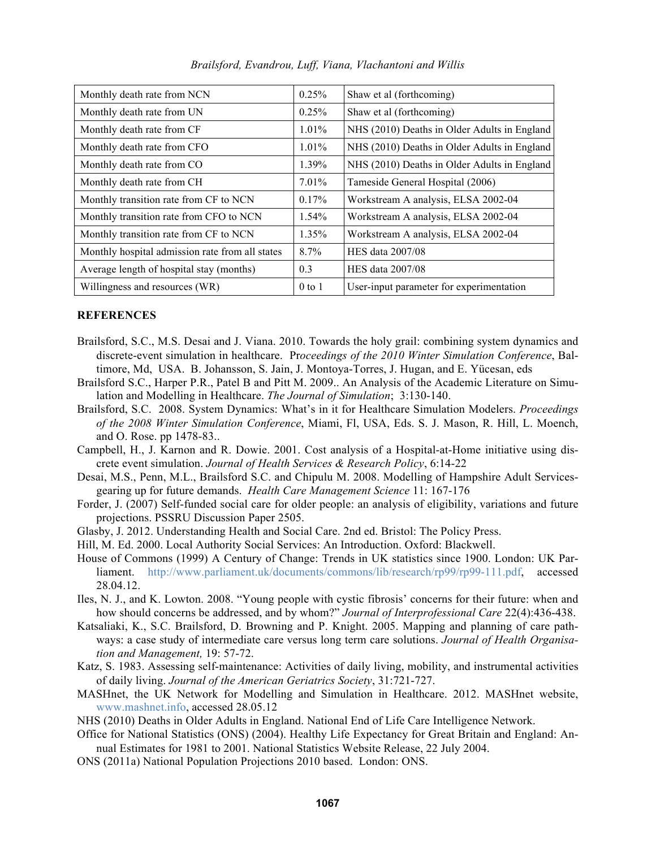| Monthly death rate from NCN                     | 0.25%      | Shaw et al (forthcoming)                     |
|-------------------------------------------------|------------|----------------------------------------------|
| Monthly death rate from UN                      | 0.25%      | Shaw et al (forthcoming)                     |
| Monthly death rate from CF                      | $1.01\%$   | NHS (2010) Deaths in Older Adults in England |
| Monthly death rate from CFO                     | 1.01%      | NHS (2010) Deaths in Older Adults in England |
| Monthly death rate from CO                      | 1.39%      | NHS (2010) Deaths in Older Adults in England |
| Monthly death rate from CH                      | 7.01%      | Tameside General Hospital (2006)             |
| Monthly transition rate from CF to NCN          | 0.17%      | Workstream A analysis, ELSA 2002-04          |
| Monthly transition rate from CFO to NCN         | $1.54\%$   | Workstream A analysis, ELSA 2002-04          |
| Monthly transition rate from CF to NCN          | 1.35%      | Workstream A analysis, ELSA 2002-04          |
| Monthly hospital admission rate from all states | $8.7\%$    | <b>HES</b> data 2007/08                      |
| Average length of hospital stay (months)        | 0.3        | HES data 2007/08                             |
| Willingness and resources (WR)                  | $0$ to $1$ | User-input parameter for experimentation     |

*Brailsford, Evandrou, Luff, Viana, Vlachantoni and Willis* 

### **REFERENCES**

- Brailsford, S.C., M.S. Desai and J. Viana. 2010. Towards the holy grail: combining system dynamics and discrete-event simulation in healthcare. Pr*oceedings of the 2010 Winter Simulation Conference*, Baltimore, Md, USA. B. Johansson, S. Jain, J. Montoya-Torres, J. Hugan, and E. Yücesan, eds
- Brailsford S.C., Harper P.R., Patel B and Pitt M. 2009.. An Analysis of the Academic Literature on Simulation and Modelling in Healthcare. *The Journal of Simulation*; 3:130-140.
- Brailsford, S.C. 2008. System Dynamics: What's in it for Healthcare Simulation Modelers. *Proceedings of the 2008 Winter Simulation Conference*, Miami, Fl, USA, Eds. S. J. Mason, R. Hill, L. Moench, and O. Rose. pp 1478-83..
- Campbell, H., J. Karnon and R. Dowie. 2001. Cost analysis of a Hospital-at-Home initiative using discrete event simulation. *Journal of Health Services & Research Policy*, 6:14-22
- Desai, M.S., Penn, M.L., Brailsford S.C. and Chipulu M. 2008. Modelling of Hampshire Adult Servicesgearing up for future demands. *Health Care Management Science* 11: 167-176
- Forder, J. (2007) Self-funded social care for older people: an analysis of eligibility, variations and future projections. PSSRU Discussion Paper 2505.
- Glasby, J. 2012. Understanding Health and Social Care. 2nd ed. Bristol: The Policy Press.
- Hill, M. Ed. 2000. Local Authority Social Services: An Introduction. Oxford: Blackwell.
- House of Commons (1999) A Century of Change: Trends in UK statistics since 1900. London: UK Parliament. http://www.parliament.uk/documents/commons/lib/research/rp99/rp99-111.pdf, accessed 28.04.12.
- Iles, N. J., and K. Lowton. 2008. "Young people with cystic fibrosis' concerns for their future: when and how should concerns be addressed, and by whom?" *Journal of Interprofessional Care* 22(4):436-438.
- Katsaliaki, K., S.C. Brailsford, D. Browning and P. Knight. 2005. Mapping and planning of care pathways: a case study of intermediate care versus long term care solutions. *Journal of Health Organisation and Management,* 19: 57-72.
- Katz, S. 1983. Assessing self-maintenance: Activities of daily living, mobility, and instrumental activities of daily living. *Journal of the American Geriatrics Society*, 31:721-727.
- MASHnet, the UK Network for Modelling and Simulation in Healthcare. 2012. MASHnet website, www.mashnet.info, accessed 28.05.12
- NHS (2010) Deaths in Older Adults in England. National End of Life Care Intelligence Network.
- Office for National Statistics (ONS) (2004). Healthy Life Expectancy for Great Britain and England: Annual Estimates for 1981 to 2001. National Statistics Website Release, 22 July 2004.
- ONS (2011a) National Population Projections 2010 based. London: ONS.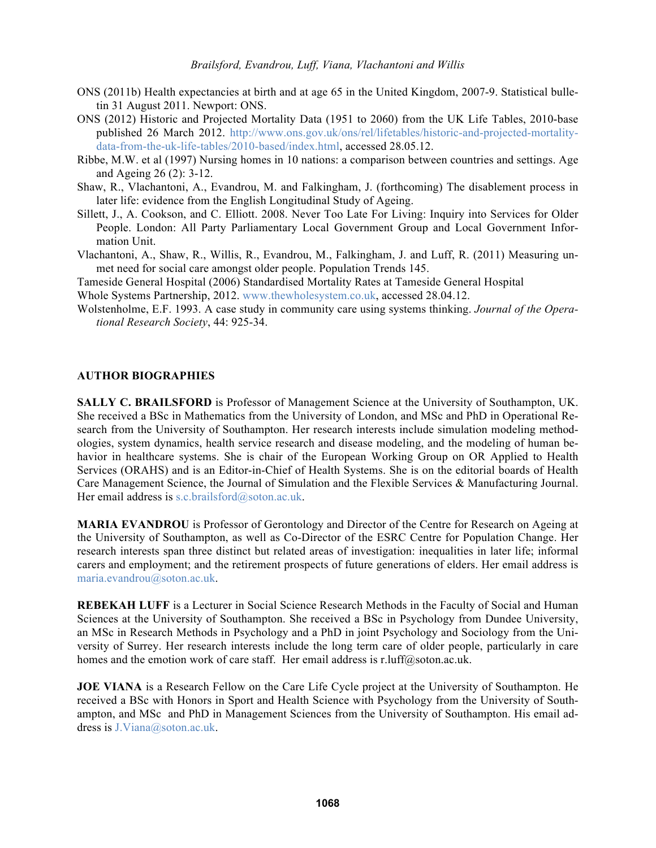- ONS (2011b) Health expectancies at birth and at age 65 in the United Kingdom, 2007-9. Statistical bulletin 31 August 2011. Newport: ONS.
- ONS (2012) Historic and Projected Mortality Data (1951 to 2060) from the UK Life Tables, 2010-base published 26 March 2012. http://www.ons.gov.uk/ons/rel/lifetables/historic-and-projected-mortalitydata-from-the-uk-life-tables/2010-based/index.html, accessed 28.05.12.
- Ribbe, M.W. et al (1997) Nursing homes in 10 nations: a comparison between countries and settings. Age and Ageing 26 (2): 3-12.
- Shaw, R., Vlachantoni, A., Evandrou, M. and Falkingham, J. (forthcoming) The disablement process in later life: evidence from the English Longitudinal Study of Ageing.
- Sillett, J., A. Cookson, and C. Elliott. 2008. Never Too Late For Living: Inquiry into Services for Older People. London: All Party Parliamentary Local Government Group and Local Government Information Unit.
- Vlachantoni, A., Shaw, R., Willis, R., Evandrou, M., Falkingham, J. and Luff, R. (2011) Measuring unmet need for social care amongst older people. Population Trends 145.

Tameside General Hospital (2006) Standardised Mortality Rates at Tameside General Hospital

Whole Systems Partnership, 2012. www.thewholesystem.co.uk, accessed 28.04.12.

Wolstenholme, E.F. 1993. A case study in community care using systems thinking. *Journal of the Operational Research Society*, 44: 925-34.

### **AUTHOR BIOGRAPHIES**

**SALLY C. BRAILSFORD** is Professor of Management Science at the University of Southampton, UK. She received a BSc in Mathematics from the University of London, and MSc and PhD in Operational Research from the University of Southampton. Her research interests include simulation modeling methodologies, system dynamics, health service research and disease modeling, and the modeling of human behavior in healthcare systems. She is chair of the European Working Group on OR Applied to Health Services (ORAHS) and is an Editor-in-Chief of Health Systems. She is on the editorial boards of Health Care Management Science, the Journal of Simulation and the Flexible Services & Manufacturing Journal. Her email address is s.c.brailsford@soton.ac.uk.

**MARIA EVANDROU** is Professor of Gerontology and Director of the Centre for Research on Ageing at the University of Southampton, as well as Co-Director of the ESRC Centre for Population Change. Her research interests span three distinct but related areas of investigation: inequalities in later life; informal carers and employment; and the retirement prospects of future generations of elders. Her email address is maria.evandrou@soton.ac.uk.

**REBEKAH LUFF** is a Lecturer in Social Science Research Methods in the Faculty of Social and Human Sciences at the University of Southampton. She received a BSc in Psychology from Dundee University, an MSc in Research Methods in Psychology and a PhD in joint Psychology and Sociology from the University of Surrey. Her research interests include the long term care of older people, particularly in care homes and the emotion work of care staff. Her email address is r.luff@soton.ac.uk.

**JOE VIANA** is a Research Fellow on the Care Life Cycle project at the University of Southampton. He received a BSc with Honors in Sport and Health Science with Psychology from the University of Southampton, and MSc and PhD in Management Sciences from the University of Southampton. His email address is J.Viana@soton.ac.uk.